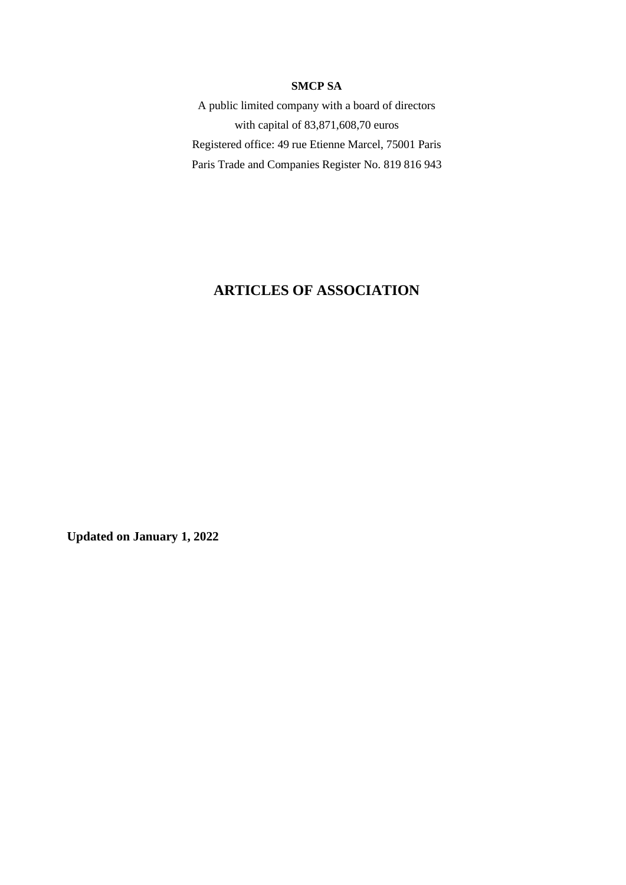#### **SMCP SA**

A public limited company with a board of directors with capital of 83,871,608,70 euros Registered office: 49 rue Etienne Marcel, 75001 Paris Paris Trade and Companies Register No. 819 816 943

# **ARTICLES OF ASSOCIATION**

**Updated on January 1, 2022**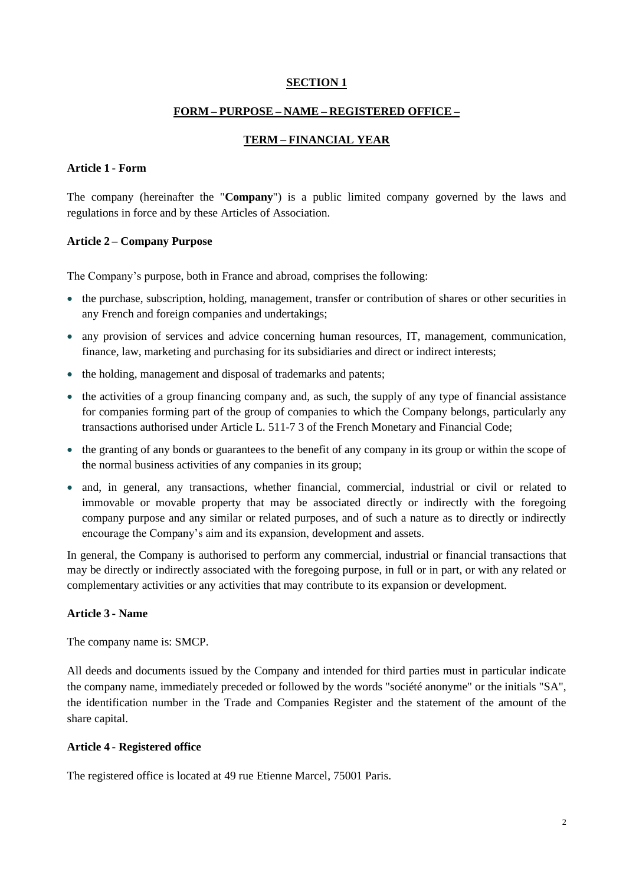#### **SECTION 1**

### **FORM – PURPOSE – NAME – REGISTERED OFFICE –**

# **TERM – FINANCIAL YEAR**

#### **Article 1 - Form**

The company (hereinafter the "**Company**") is a public limited company governed by the laws and regulations in force and by these Articles of Association.

### **Article 2 – Company Purpose**

The Company's purpose, both in France and abroad, comprises the following:

- the purchase, subscription, holding, management, transfer or contribution of shares or other securities in any French and foreign companies and undertakings;
- any provision of services and advice concerning human resources, IT, management, communication, finance, law, marketing and purchasing for its subsidiaries and direct or indirect interests;
- the holding, management and disposal of trademarks and patents;
- the activities of a group financing company and, as such, the supply of any type of financial assistance for companies forming part of the group of companies to which the Company belongs, particularly any transactions authorised under Article L. 511-7 3 of the French Monetary and Financial Code;
- the granting of any bonds or guarantees to the benefit of any company in its group or within the scope of the normal business activities of any companies in its group;
- and, in general, any transactions, whether financial, commercial, industrial or civil or related to immovable or movable property that may be associated directly or indirectly with the foregoing company purpose and any similar or related purposes, and of such a nature as to directly or indirectly encourage the Company's aim and its expansion, development and assets.

In general, the Company is authorised to perform any commercial, industrial or financial transactions that may be directly or indirectly associated with the foregoing purpose, in full or in part, or with any related or complementary activities or any activities that may contribute to its expansion or development.

#### **Article 3 - Name**

The company name is: SMCP.

All deeds and documents issued by the Company and intended for third parties must in particular indicate the company name, immediately preceded or followed by the words "société anonyme" or the initials "SA", the identification number in the Trade and Companies Register and the statement of the amount of the share capital.

### **Article 4 - Registered office**

The registered office is located at 49 rue Etienne Marcel, 75001 Paris.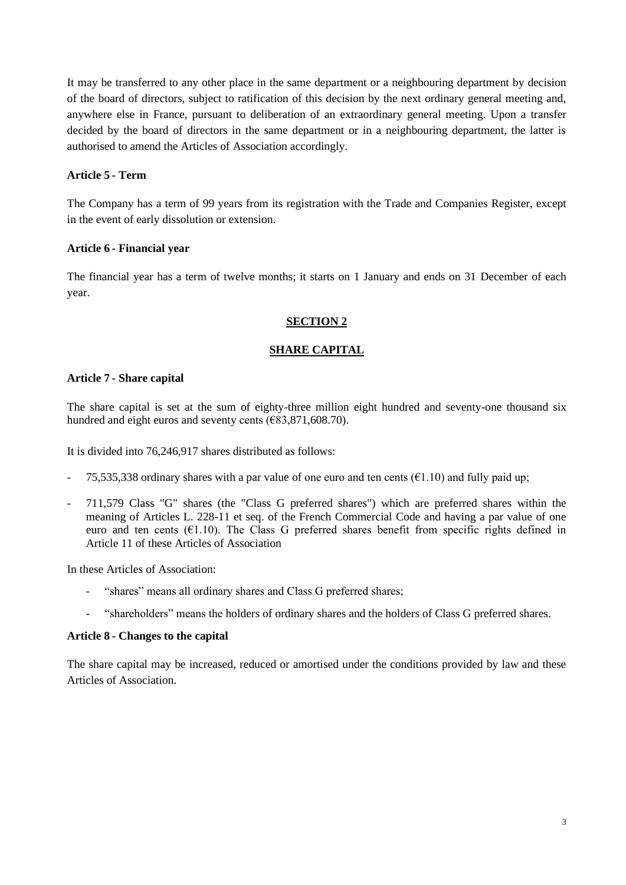It may be transferred to any other place in the same department or a neighbouring department by decision of the board of directors, subject to ratification of this decision by the next ordinary general meeting and, anywhere else in France, pursuant to deliberation of an extraordinary general meeting. Upon a transfer decided by the board of directors in the same department or in a neighbouring department, the latter is authorised to amend the Articles of Association accordingly.

# **Article 5 - Term**

The Company has a term of 99 years from its registration with the Trade and Companies Register, except in the event of early dissolution or extension.

# **Article 6 - Financial year**

The financial year has a term of twelve months; it starts on 1 January and ends on 31 December of each year.

# **SECTION 2**

# **SHARE CAPITAL**

# **Article 7 - Share capital**

The share capital is set at the sum of eighty-three million eight hundred and seventy-one thousand six hundred and eight euros and seventy cents ( $\epsilon$ 83,871,608.70).

It is divided into 76,246,917 shares distributed as follows:

- 75,535,338 ordinary shares with a par value of one euro and ten cents ( $\epsilon$ 1.10) and fully paid up;
- 711,579 Class "G" shares (the "Class G preferred shares") which are preferred shares within the meaning of Articles L. 228-11 et seq. of the French Commercial Code and having a par value of one euro and ten cents ( $E1.10$ ). The Class G preferred shares benefit from specific rights defined in Article 11 of these Articles of Association

In these Articles of Association:

- "shares" means all ordinary shares and Class G preferred shares;
- "shareholders" means the holders of ordinary shares and the holders of Class G preferred shares.

# **Article 8 - Changes to the capital**

The share capital may be increased, reduced or amortised under the conditions provided by law and these Articles of Association.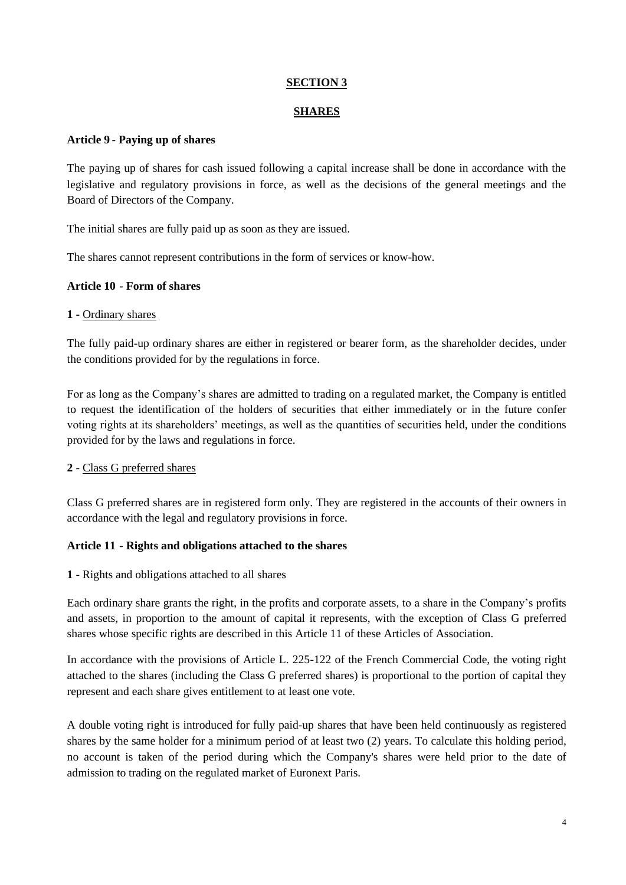# **SECTION 3**

## **SHARES**

### **Article 9 - Paying up of shares**

The paying up of shares for cash issued following a capital increase shall be done in accordance with the legislative and regulatory provisions in force, as well as the decisions of the general meetings and the Board of Directors of the Company.

The initial shares are fully paid up as soon as they are issued.

The shares cannot represent contributions in the form of services or know-how.

### **Article 10 - Form of shares**

### **1 -** Ordinary shares

The fully paid-up ordinary shares are either in registered or bearer form, as the shareholder decides, under the conditions provided for by the regulations in force.

For as long as the Company's shares are admitted to trading on a regulated market, the Company is entitled to request the identification of the holders of securities that either immediately or in the future confer voting rights at its shareholders' meetings, as well as the quantities of securities held, under the conditions provided for by the laws and regulations in force.

# **2 -** Class G preferred shares

Class G preferred shares are in registered form only. They are registered in the accounts of their owners in accordance with the legal and regulatory provisions in force.

# **Article 11 - Rights and obligations attached to the shares**

**1** - Rights and obligations attached to all shares

Each ordinary share grants the right, in the profits and corporate assets, to a share in the Company's profits and assets, in proportion to the amount of capital it represents, with the exception of Class G preferred shares whose specific rights are described in this Article 11 of these Articles of Association.

In accordance with the provisions of Article L. 225-122 of the French Commercial Code, the voting right attached to the shares (including the Class G preferred shares) is proportional to the portion of capital they represent and each share gives entitlement to at least one vote.

A double voting right is introduced for fully paid-up shares that have been held continuously as registered shares by the same holder for a minimum period of at least two (2) years. To calculate this holding period, no account is taken of the period during which the Company's shares were held prior to the date of admission to trading on the regulated market of Euronext Paris.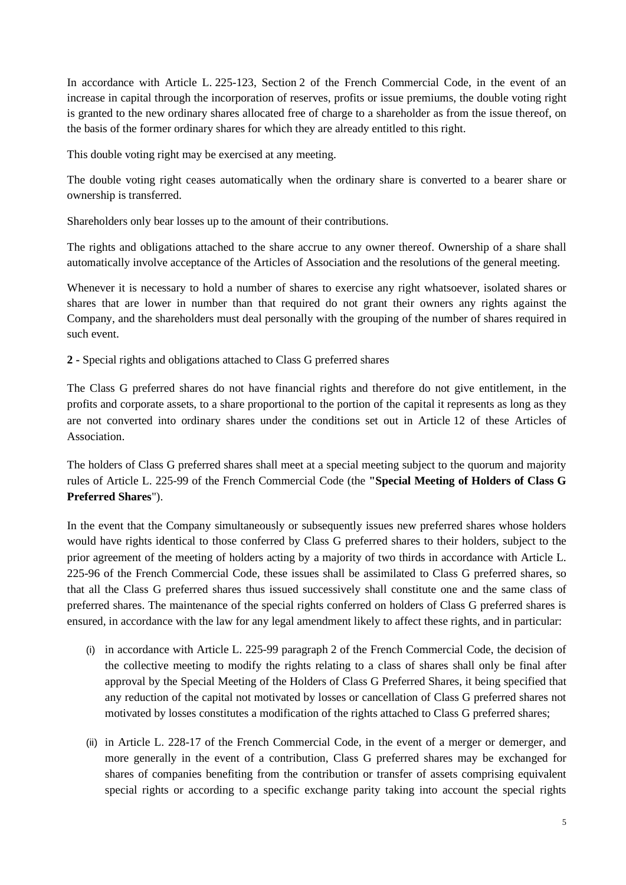In accordance with Article L. 225-123, Section 2 of the French Commercial Code, in the event of an increase in capital through the incorporation of reserves, profits or issue premiums, the double voting right is granted to the new ordinary shares allocated free of charge to a shareholder as from the issue thereof, on the basis of the former ordinary shares for which they are already entitled to this right.

This double voting right may be exercised at any meeting.

The double voting right ceases automatically when the ordinary share is converted to a bearer share or ownership is transferred.

Shareholders only bear losses up to the amount of their contributions.

The rights and obligations attached to the share accrue to any owner thereof. Ownership of a share shall automatically involve acceptance of the Articles of Association and the resolutions of the general meeting.

Whenever it is necessary to hold a number of shares to exercise any right whatsoever, isolated shares or shares that are lower in number than that required do not grant their owners any rights against the Company, and the shareholders must deal personally with the grouping of the number of shares required in such event.

**2 -** Special rights and obligations attached to Class G preferred shares

The Class G preferred shares do not have financial rights and therefore do not give entitlement, in the profits and corporate assets, to a share proportional to the portion of the capital it represents as long as they are not converted into ordinary shares under the conditions set out in Article 12 of these Articles of Association.

The holders of Class G preferred shares shall meet at a special meeting subject to the quorum and majority rules of Article L. 225-99 of the French Commercial Code (the **"Special Meeting of Holders of Class G Preferred Shares**").

In the event that the Company simultaneously or subsequently issues new preferred shares whose holders would have rights identical to those conferred by Class G preferred shares to their holders, subject to the prior agreement of the meeting of holders acting by a majority of two thirds in accordance with Article L. 225-96 of the French Commercial Code, these issues shall be assimilated to Class G preferred shares, so that all the Class G preferred shares thus issued successively shall constitute one and the same class of preferred shares. The maintenance of the special rights conferred on holders of Class G preferred shares is ensured, in accordance with the law for any legal amendment likely to affect these rights, and in particular:

- (i) in accordance with Article L. 225-99 paragraph 2 of the French Commercial Code, the decision of the collective meeting to modify the rights relating to a class of shares shall only be final after approval by the Special Meeting of the Holders of Class G Preferred Shares, it being specified that any reduction of the capital not motivated by losses or cancellation of Class G preferred shares not motivated by losses constitutes a modification of the rights attached to Class G preferred shares;
- (ii) in Article L. 228-17 of the French Commercial Code, in the event of a merger or demerger, and more generally in the event of a contribution, Class G preferred shares may be exchanged for shares of companies benefiting from the contribution or transfer of assets comprising equivalent special rights or according to a specific exchange parity taking into account the special rights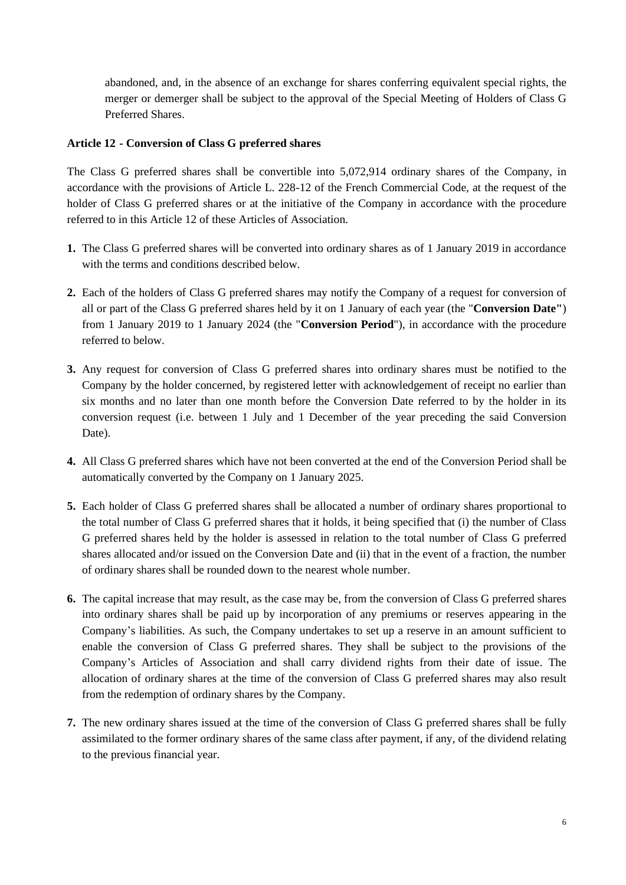abandoned, and, in the absence of an exchange for shares conferring equivalent special rights, the merger or demerger shall be subject to the approval of the Special Meeting of Holders of Class G Preferred Shares.

### **Article 12 - Conversion of Class G preferred shares**

The Class G preferred shares shall be convertible into 5,072,914 ordinary shares of the Company, in accordance with the provisions of Article L. 228-12 of the French Commercial Code, at the request of the holder of Class G preferred shares or at the initiative of the Company in accordance with the procedure referred to in this Article 12 of these Articles of Association.

- **1.** The Class G preferred shares will be converted into ordinary shares as of 1 January 2019 in accordance with the terms and conditions described below.
- **2.** Each of the holders of Class G preferred shares may notify the Company of a request for conversion of all or part of the Class G preferred shares held by it on 1 January of each year (the "**Conversion Date"**) from 1 January 2019 to 1 January 2024 (the "**Conversion Period**"), in accordance with the procedure referred to below.
- **3.** Any request for conversion of Class G preferred shares into ordinary shares must be notified to the Company by the holder concerned, by registered letter with acknowledgement of receipt no earlier than six months and no later than one month before the Conversion Date referred to by the holder in its conversion request (i.e. between 1 July and 1 December of the year preceding the said Conversion Date).
- **4.** All Class G preferred shares which have not been converted at the end of the Conversion Period shall be automatically converted by the Company on 1 January 2025.
- **5.** Each holder of Class G preferred shares shall be allocated a number of ordinary shares proportional to the total number of Class G preferred shares that it holds, it being specified that (i) the number of Class G preferred shares held by the holder is assessed in relation to the total number of Class G preferred shares allocated and/or issued on the Conversion Date and (ii) that in the event of a fraction, the number of ordinary shares shall be rounded down to the nearest whole number.
- **6.** The capital increase that may result, as the case may be, from the conversion of Class G preferred shares into ordinary shares shall be paid up by incorporation of any premiums or reserves appearing in the Company's liabilities. As such, the Company undertakes to set up a reserve in an amount sufficient to enable the conversion of Class G preferred shares. They shall be subject to the provisions of the Company's Articles of Association and shall carry dividend rights from their date of issue. The allocation of ordinary shares at the time of the conversion of Class G preferred shares may also result from the redemption of ordinary shares by the Company.
- **7.** The new ordinary shares issued at the time of the conversion of Class G preferred shares shall be fully assimilated to the former ordinary shares of the same class after payment, if any, of the dividend relating to the previous financial year.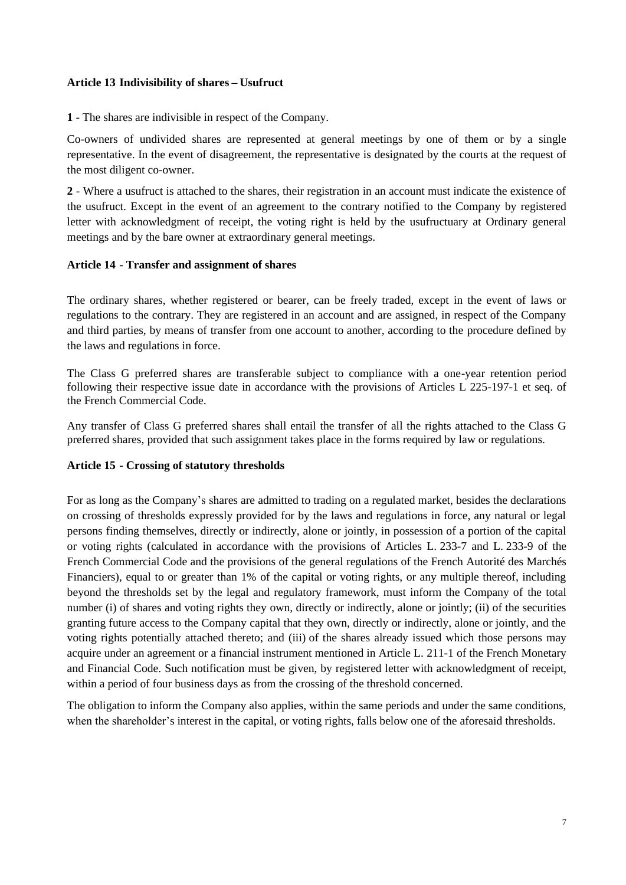#### **Article 13 Indivisibility of shares – Usufruct**

**1** - The shares are indivisible in respect of the Company.

Co-owners of undivided shares are represented at general meetings by one of them or by a single representative. In the event of disagreement, the representative is designated by the courts at the request of the most diligent co-owner.

**2** - Where a usufruct is attached to the shares, their registration in an account must indicate the existence of the usufruct. Except in the event of an agreement to the contrary notified to the Company by registered letter with acknowledgment of receipt, the voting right is held by the usufructuary at Ordinary general meetings and by the bare owner at extraordinary general meetings.

### **Article 14 - Transfer and assignment of shares**

The ordinary shares, whether registered or bearer, can be freely traded, except in the event of laws or regulations to the contrary. They are registered in an account and are assigned, in respect of the Company and third parties, by means of transfer from one account to another, according to the procedure defined by the laws and regulations in force.

The Class G preferred shares are transferable subject to compliance with a one-year retention period following their respective issue date in accordance with the provisions of Articles L 225-197-1 et seq. of the French Commercial Code.

Any transfer of Class G preferred shares shall entail the transfer of all the rights attached to the Class G preferred shares, provided that such assignment takes place in the forms required by law or regulations.

# **Article 15 - Crossing of statutory thresholds**

For as long as the Company's shares are admitted to trading on a regulated market, besides the declarations on crossing of thresholds expressly provided for by the laws and regulations in force, any natural or legal persons finding themselves, directly or indirectly, alone or jointly, in possession of a portion of the capital or voting rights (calculated in accordance with the provisions of Articles L. 233-7 and L. 233-9 of the French Commercial Code and the provisions of the general regulations of the French Autorité des Marchés Financiers), equal to or greater than 1% of the capital or voting rights, or any multiple thereof, including beyond the thresholds set by the legal and regulatory framework, must inform the Company of the total number (i) of shares and voting rights they own, directly or indirectly, alone or jointly; (ii) of the securities granting future access to the Company capital that they own, directly or indirectly, alone or jointly, and the voting rights potentially attached thereto; and (iii) of the shares already issued which those persons may acquire under an agreement or a financial instrument mentioned in Article L. 211-1 of the French Monetary and Financial Code. Such notification must be given, by registered letter with acknowledgment of receipt, within a period of four business days as from the crossing of the threshold concerned.

The obligation to inform the Company also applies, within the same periods and under the same conditions, when the shareholder's interest in the capital, or voting rights, falls below one of the aforesaid thresholds.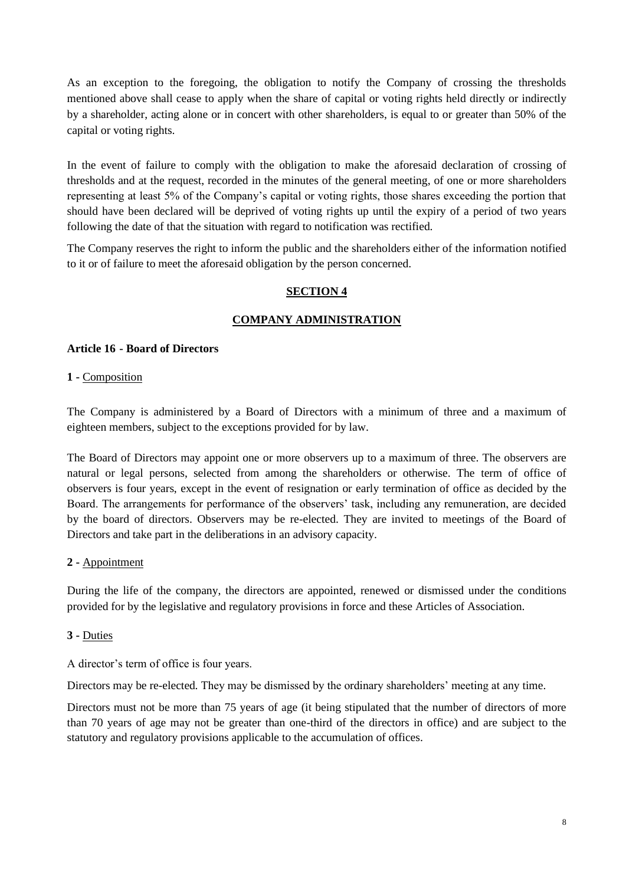As an exception to the foregoing, the obligation to notify the Company of crossing the thresholds mentioned above shall cease to apply when the share of capital or voting rights held directly or indirectly by a shareholder, acting alone or in concert with other shareholders, is equal to or greater than 50% of the capital or voting rights.

In the event of failure to comply with the obligation to make the aforesaid declaration of crossing of thresholds and at the request, recorded in the minutes of the general meeting, of one or more shareholders representing at least 5% of the Company's capital or voting rights, those shares exceeding the portion that should have been declared will be deprived of voting rights up until the expiry of a period of two years following the date of that the situation with regard to notification was rectified.

The Company reserves the right to inform the public and the shareholders either of the information notified to it or of failure to meet the aforesaid obligation by the person concerned.

# **SECTION 4**

# **COMPANY ADMINISTRATION**

### **Article 16 - Board of Directors**

### **1 -** Composition

The Company is administered by a Board of Directors with a minimum of three and a maximum of eighteen members, subject to the exceptions provided for by law.

The Board of Directors may appoint one or more observers up to a maximum of three. The observers are natural or legal persons, selected from among the shareholders or otherwise. The term of office of observers is four years, except in the event of resignation or early termination of office as decided by the Board. The arrangements for performance of the observers' task, including any remuneration, are decided by the board of directors. Observers may be re-elected. They are invited to meetings of the Board of Directors and take part in the deliberations in an advisory capacity.

# **2 -** Appointment

During the life of the company, the directors are appointed, renewed or dismissed under the conditions provided for by the legislative and regulatory provisions in force and these Articles of Association.

# **3 -** Duties

A director's term of office is four years.

Directors may be re-elected. They may be dismissed by the ordinary shareholders' meeting at any time.

Directors must not be more than 75 years of age (it being stipulated that the number of directors of more than 70 years of age may not be greater than one-third of the directors in office) and are subject to the statutory and regulatory provisions applicable to the accumulation of offices.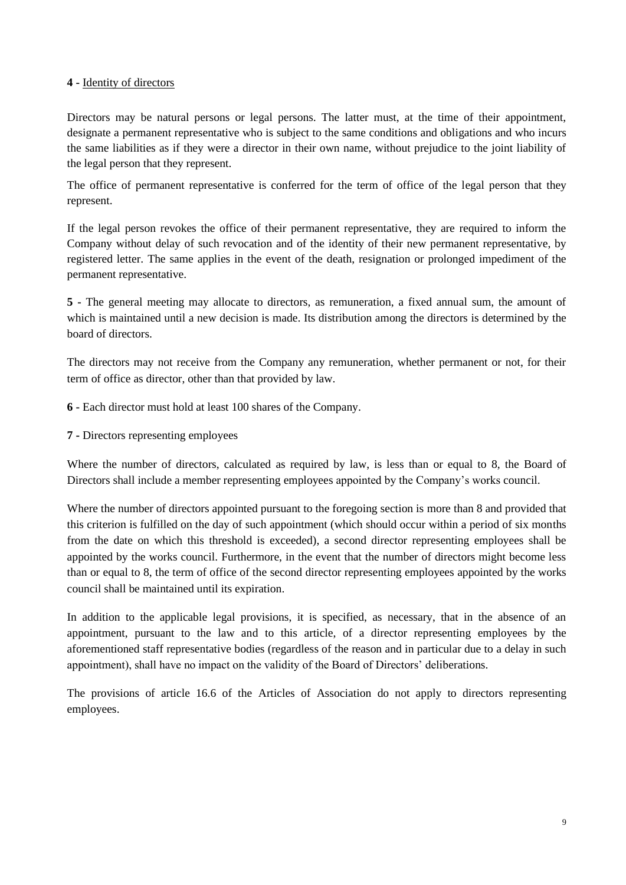### **4 -** Identity of directors

Directors may be natural persons or legal persons. The latter must, at the time of their appointment, designate a permanent representative who is subject to the same conditions and obligations and who incurs the same liabilities as if they were a director in their own name, without prejudice to the joint liability of the legal person that they represent.

The office of permanent representative is conferred for the term of office of the legal person that they represent.

If the legal person revokes the office of their permanent representative, they are required to inform the Company without delay of such revocation and of the identity of their new permanent representative, by registered letter. The same applies in the event of the death, resignation or prolonged impediment of the permanent representative.

**5 -** The general meeting may allocate to directors, as remuneration, a fixed annual sum, the amount of which is maintained until a new decision is made. Its distribution among the directors is determined by the board of directors.

The directors may not receive from the Company any remuneration, whether permanent or not, for their term of office as director, other than that provided by law.

**6 -** Each director must hold at least 100 shares of the Company.

**7 -** Directors representing employees

Where the number of directors, calculated as required by law, is less than or equal to 8, the Board of Directors shall include a member representing employees appointed by the Company's works council.

Where the number of directors appointed pursuant to the foregoing section is more than 8 and provided that this criterion is fulfilled on the day of such appointment (which should occur within a period of six months from the date on which this threshold is exceeded), a second director representing employees shall be appointed by the works council. Furthermore, in the event that the number of directors might become less than or equal to 8, the term of office of the second director representing employees appointed by the works council shall be maintained until its expiration.

In addition to the applicable legal provisions, it is specified, as necessary, that in the absence of an appointment, pursuant to the law and to this article, of a director representing employees by the aforementioned staff representative bodies (regardless of the reason and in particular due to a delay in such appointment), shall have no impact on the validity of the Board of Directors' deliberations.

The provisions of article 16.6 of the Articles of Association do not apply to directors representing employees.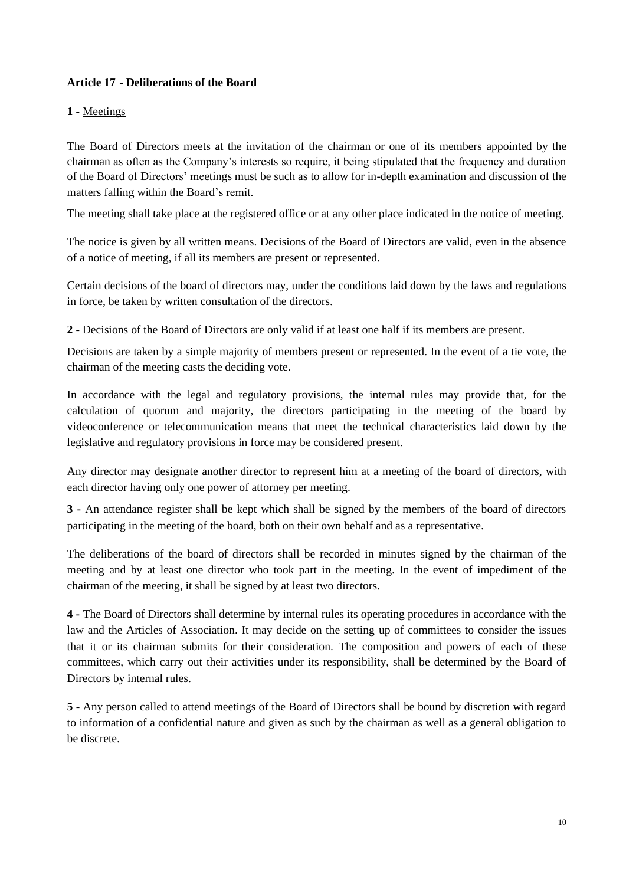# **Article 17 - Deliberations of the Board**

## **1 -** Meetings

The Board of Directors meets at the invitation of the chairman or one of its members appointed by the chairman as often as the Company's interests so require, it being stipulated that the frequency and duration of the Board of Directors' meetings must be such as to allow for in-depth examination and discussion of the matters falling within the Board's remit.

The meeting shall take place at the registered office or at any other place indicated in the notice of meeting.

The notice is given by all written means. Decisions of the Board of Directors are valid, even in the absence of a notice of meeting, if all its members are present or represented.

Certain decisions of the board of directors may, under the conditions laid down by the laws and regulations in force, be taken by written consultation of the directors.

**2** - Decisions of the Board of Directors are only valid if at least one half if its members are present.

Decisions are taken by a simple majority of members present or represented. In the event of a tie vote, the chairman of the meeting casts the deciding vote.

In accordance with the legal and regulatory provisions, the internal rules may provide that, for the calculation of quorum and majority, the directors participating in the meeting of the board by videoconference or telecommunication means that meet the technical characteristics laid down by the legislative and regulatory provisions in force may be considered present.

Any director may designate another director to represent him at a meeting of the board of directors, with each director having only one power of attorney per meeting.

**3 -** An attendance register shall be kept which shall be signed by the members of the board of directors participating in the meeting of the board, both on their own behalf and as a representative.

The deliberations of the board of directors shall be recorded in minutes signed by the chairman of the meeting and by at least one director who took part in the meeting. In the event of impediment of the chairman of the meeting, it shall be signed by at least two directors.

**4 -** The Board of Directors shall determine by internal rules its operating procedures in accordance with the law and the Articles of Association. It may decide on the setting up of committees to consider the issues that it or its chairman submits for their consideration. The composition and powers of each of these committees, which carry out their activities under its responsibility, shall be determined by the Board of Directors by internal rules.

**5** - Any person called to attend meetings of the Board of Directors shall be bound by discretion with regard to information of a confidential nature and given as such by the chairman as well as a general obligation to be discrete.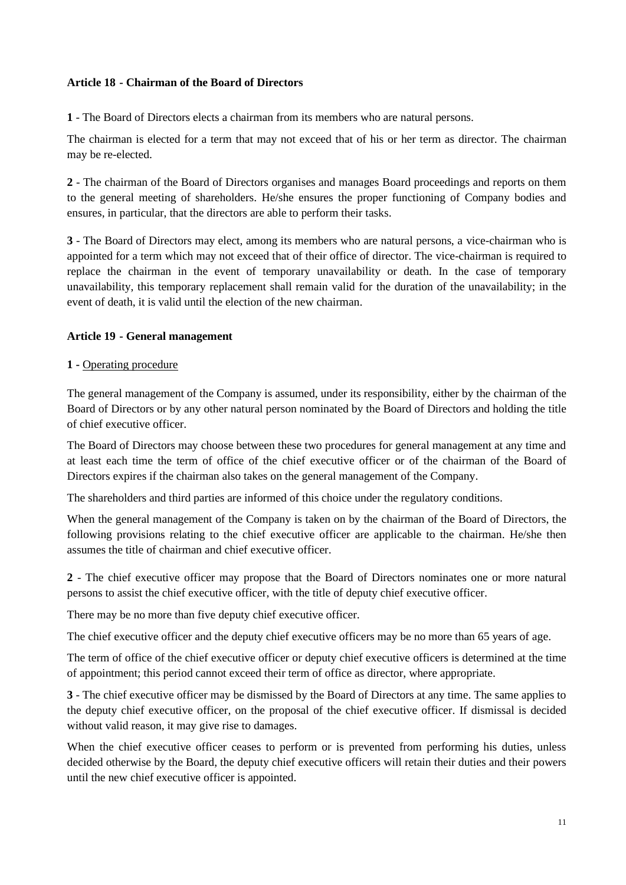### **Article 18 - Chairman of the Board of Directors**

**1** - The Board of Directors elects a chairman from its members who are natural persons.

The chairman is elected for a term that may not exceed that of his or her term as director. The chairman may be re-elected.

**2** - The chairman of the Board of Directors organises and manages Board proceedings and reports on them to the general meeting of shareholders. He/she ensures the proper functioning of Company bodies and ensures, in particular, that the directors are able to perform their tasks.

**3** - The Board of Directors may elect, among its members who are natural persons, a vice-chairman who is appointed for a term which may not exceed that of their office of director. The vice-chairman is required to replace the chairman in the event of temporary unavailability or death. In the case of temporary unavailability, this temporary replacement shall remain valid for the duration of the unavailability; in the event of death, it is valid until the election of the new chairman.

# **Article 19 - General management**

### **1 -** Operating procedure

The general management of the Company is assumed, under its responsibility, either by the chairman of the Board of Directors or by any other natural person nominated by the Board of Directors and holding the title of chief executive officer.

The Board of Directors may choose between these two procedures for general management at any time and at least each time the term of office of the chief executive officer or of the chairman of the Board of Directors expires if the chairman also takes on the general management of the Company.

The shareholders and third parties are informed of this choice under the regulatory conditions.

When the general management of the Company is taken on by the chairman of the Board of Directors, the following provisions relating to the chief executive officer are applicable to the chairman. He/she then assumes the title of chairman and chief executive officer.

**2** - The chief executive officer may propose that the Board of Directors nominates one or more natural persons to assist the chief executive officer, with the title of deputy chief executive officer.

There may be no more than five deputy chief executive officer.

The chief executive officer and the deputy chief executive officers may be no more than 65 years of age.

The term of office of the chief executive officer or deputy chief executive officers is determined at the time of appointment; this period cannot exceed their term of office as director, where appropriate.

**3** - The chief executive officer may be dismissed by the Board of Directors at any time. The same applies to the deputy chief executive officer, on the proposal of the chief executive officer. If dismissal is decided without valid reason, it may give rise to damages.

When the chief executive officer ceases to perform or is prevented from performing his duties, unless decided otherwise by the Board, the deputy chief executive officers will retain their duties and their powers until the new chief executive officer is appointed.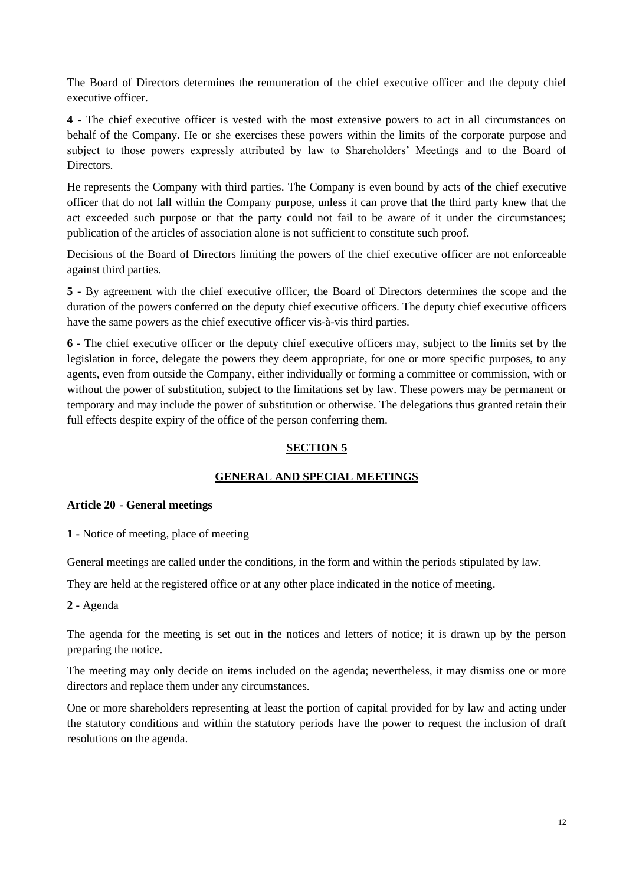The Board of Directors determines the remuneration of the chief executive officer and the deputy chief executive officer.

**4** - The chief executive officer is vested with the most extensive powers to act in all circumstances on behalf of the Company. He or she exercises these powers within the limits of the corporate purpose and subject to those powers expressly attributed by law to Shareholders' Meetings and to the Board of Directors.

He represents the Company with third parties. The Company is even bound by acts of the chief executive officer that do not fall within the Company purpose, unless it can prove that the third party knew that the act exceeded such purpose or that the party could not fail to be aware of it under the circumstances; publication of the articles of association alone is not sufficient to constitute such proof.

Decisions of the Board of Directors limiting the powers of the chief executive officer are not enforceable against third parties.

**5** - By agreement with the chief executive officer, the Board of Directors determines the scope and the duration of the powers conferred on the deputy chief executive officers. The deputy chief executive officers have the same powers as the chief executive officer vis-à-vis third parties.

**6** - The chief executive officer or the deputy chief executive officers may, subject to the limits set by the legislation in force, delegate the powers they deem appropriate, for one or more specific purposes, to any agents, even from outside the Company, either individually or forming a committee or commission, with or without the power of substitution, subject to the limitations set by law. These powers may be permanent or temporary and may include the power of substitution or otherwise. The delegations thus granted retain their full effects despite expiry of the office of the person conferring them.

# **SECTION 5**

# **GENERAL AND SPECIAL MEETINGS**

#### **Article 20 - General meetings**

#### **1 -** Notice of meeting, place of meeting

General meetings are called under the conditions, in the form and within the periods stipulated by law.

They are held at the registered office or at any other place indicated in the notice of meeting.

# **2 -** Agenda

The agenda for the meeting is set out in the notices and letters of notice; it is drawn up by the person preparing the notice.

The meeting may only decide on items included on the agenda; nevertheless, it may dismiss one or more directors and replace them under any circumstances.

One or more shareholders representing at least the portion of capital provided for by law and acting under the statutory conditions and within the statutory periods have the power to request the inclusion of draft resolutions on the agenda.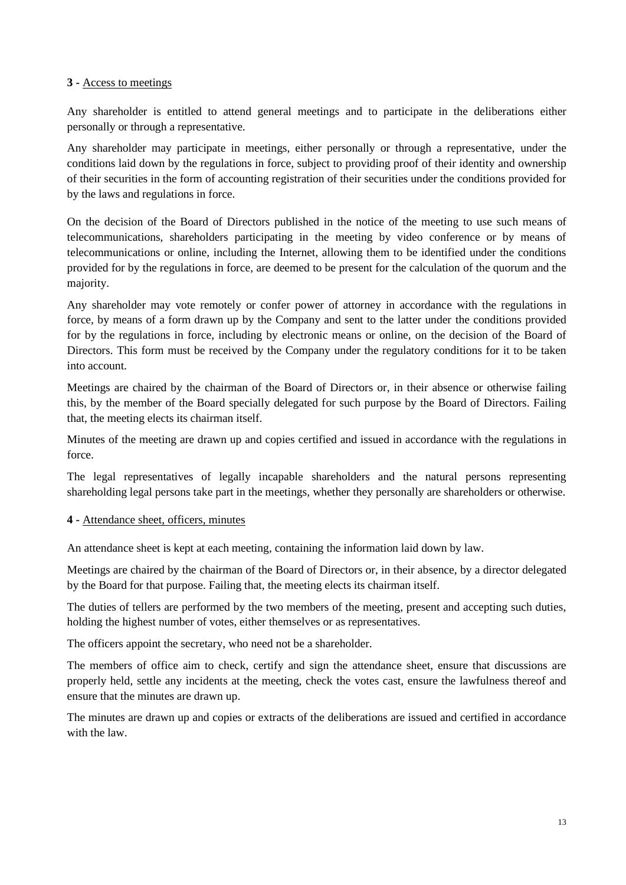### **3 -** Access to meetings

Any shareholder is entitled to attend general meetings and to participate in the deliberations either personally or through a representative.

Any shareholder may participate in meetings, either personally or through a representative, under the conditions laid down by the regulations in force, subject to providing proof of their identity and ownership of their securities in the form of accounting registration of their securities under the conditions provided for by the laws and regulations in force.

On the decision of the Board of Directors published in the notice of the meeting to use such means of telecommunications, shareholders participating in the meeting by video conference or by means of telecommunications or online, including the Internet, allowing them to be identified under the conditions provided for by the regulations in force, are deemed to be present for the calculation of the quorum and the majority.

Any shareholder may vote remotely or confer power of attorney in accordance with the regulations in force, by means of a form drawn up by the Company and sent to the latter under the conditions provided for by the regulations in force, including by electronic means or online, on the decision of the Board of Directors. This form must be received by the Company under the regulatory conditions for it to be taken into account.

Meetings are chaired by the chairman of the Board of Directors or, in their absence or otherwise failing this, by the member of the Board specially delegated for such purpose by the Board of Directors. Failing that, the meeting elects its chairman itself.

Minutes of the meeting are drawn up and copies certified and issued in accordance with the regulations in force.

The legal representatives of legally incapable shareholders and the natural persons representing shareholding legal persons take part in the meetings, whether they personally are shareholders or otherwise.

#### **4 -** Attendance sheet, officers, minutes

An attendance sheet is kept at each meeting, containing the information laid down by law.

Meetings are chaired by the chairman of the Board of Directors or, in their absence, by a director delegated by the Board for that purpose. Failing that, the meeting elects its chairman itself.

The duties of tellers are performed by the two members of the meeting, present and accepting such duties, holding the highest number of votes, either themselves or as representatives.

The officers appoint the secretary, who need not be a shareholder.

The members of office aim to check, certify and sign the attendance sheet, ensure that discussions are properly held, settle any incidents at the meeting, check the votes cast, ensure the lawfulness thereof and ensure that the minutes are drawn up.

The minutes are drawn up and copies or extracts of the deliberations are issued and certified in accordance with the law.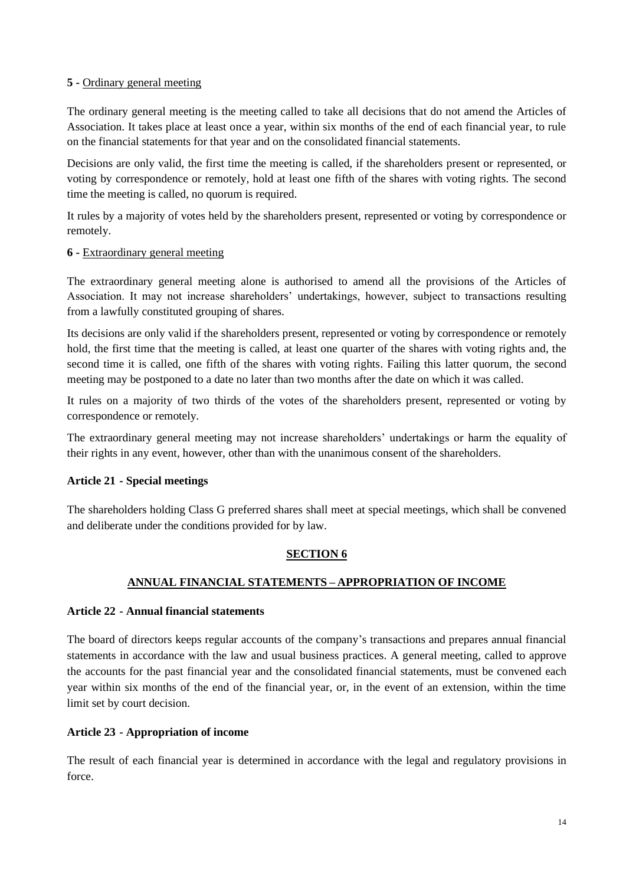### **5 -** Ordinary general meeting

The ordinary general meeting is the meeting called to take all decisions that do not amend the Articles of Association. It takes place at least once a year, within six months of the end of each financial year, to rule on the financial statements for that year and on the consolidated financial statements.

Decisions are only valid, the first time the meeting is called, if the shareholders present or represented, or voting by correspondence or remotely, hold at least one fifth of the shares with voting rights. The second time the meeting is called, no quorum is required.

It rules by a majority of votes held by the shareholders present, represented or voting by correspondence or remotely.

### **6 -** Extraordinary general meeting

The extraordinary general meeting alone is authorised to amend all the provisions of the Articles of Association. It may not increase shareholders' undertakings, however, subject to transactions resulting from a lawfully constituted grouping of shares.

Its decisions are only valid if the shareholders present, represented or voting by correspondence or remotely hold, the first time that the meeting is called, at least one quarter of the shares with voting rights and, the second time it is called, one fifth of the shares with voting rights. Failing this latter quorum, the second meeting may be postponed to a date no later than two months after the date on which it was called.

It rules on a majority of two thirds of the votes of the shareholders present, represented or voting by correspondence or remotely.

The extraordinary general meeting may not increase shareholders' undertakings or harm the equality of their rights in any event, however, other than with the unanimous consent of the shareholders.

# **Article 21 - Special meetings**

The shareholders holding Class G preferred shares shall meet at special meetings, which shall be convened and deliberate under the conditions provided for by law.

# **SECTION 6**

# **ANNUAL FINANCIAL STATEMENTS – APPROPRIATION OF INCOME**

# **Article 22 - Annual financial statements**

The board of directors keeps regular accounts of the company's transactions and prepares annual financial statements in accordance with the law and usual business practices. A general meeting, called to approve the accounts for the past financial year and the consolidated financial statements, must be convened each year within six months of the end of the financial year, or, in the event of an extension, within the time limit set by court decision.

#### **Article 23 - Appropriation of income**

The result of each financial year is determined in accordance with the legal and regulatory provisions in force.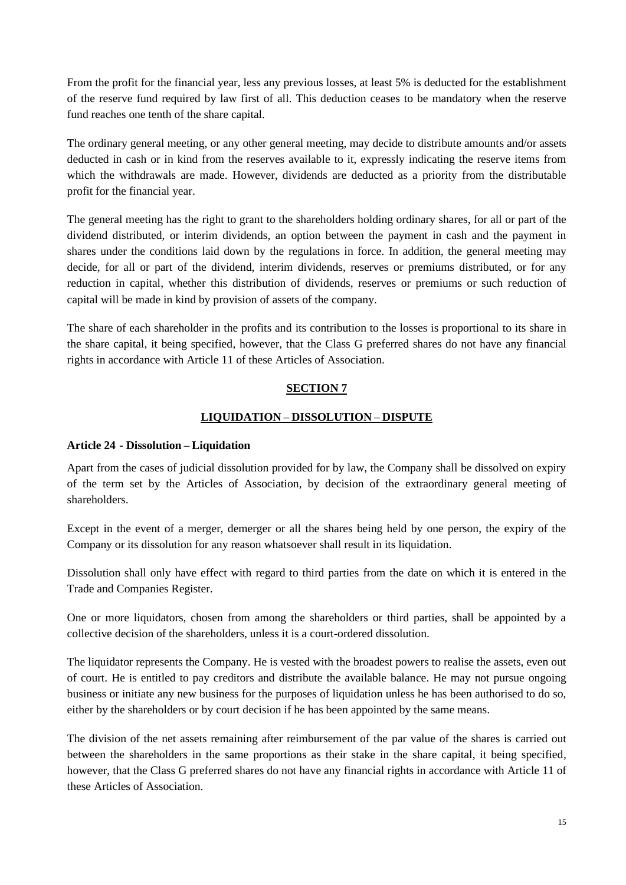From the profit for the financial year, less any previous losses, at least 5% is deducted for the establishment of the reserve fund required by law first of all. This deduction ceases to be mandatory when the reserve fund reaches one tenth of the share capital.

The ordinary general meeting, or any other general meeting, may decide to distribute amounts and/or assets deducted in cash or in kind from the reserves available to it, expressly indicating the reserve items from which the withdrawals are made. However, dividends are deducted as a priority from the distributable profit for the financial year.

The general meeting has the right to grant to the shareholders holding ordinary shares, for all or part of the dividend distributed, or interim dividends, an option between the payment in cash and the payment in shares under the conditions laid down by the regulations in force. In addition, the general meeting may decide, for all or part of the dividend, interim dividends, reserves or premiums distributed, or for any reduction in capital, whether this distribution of dividends, reserves or premiums or such reduction of capital will be made in kind by provision of assets of the company.

The share of each shareholder in the profits and its contribution to the losses is proportional to its share in the share capital, it being specified, however, that the Class G preferred shares do not have any financial rights in accordance with Article 11 of these Articles of Association.

# **SECTION 7**

# **LIQUIDATION – DISSOLUTION – DISPUTE**

#### **Article 24 - Dissolution – Liquidation**

Apart from the cases of judicial dissolution provided for by law, the Company shall be dissolved on expiry of the term set by the Articles of Association, by decision of the extraordinary general meeting of shareholders.

Except in the event of a merger, demerger or all the shares being held by one person, the expiry of the Company or its dissolution for any reason whatsoever shall result in its liquidation.

Dissolution shall only have effect with regard to third parties from the date on which it is entered in the Trade and Companies Register.

One or more liquidators, chosen from among the shareholders or third parties, shall be appointed by a collective decision of the shareholders, unless it is a court-ordered dissolution.

The liquidator represents the Company. He is vested with the broadest powers to realise the assets, even out of court. He is entitled to pay creditors and distribute the available balance. He may not pursue ongoing business or initiate any new business for the purposes of liquidation unless he has been authorised to do so, either by the shareholders or by court decision if he has been appointed by the same means.

The division of the net assets remaining after reimbursement of the par value of the shares is carried out between the shareholders in the same proportions as their stake in the share capital, it being specified, however, that the Class G preferred shares do not have any financial rights in accordance with Article 11 of these Articles of Association.